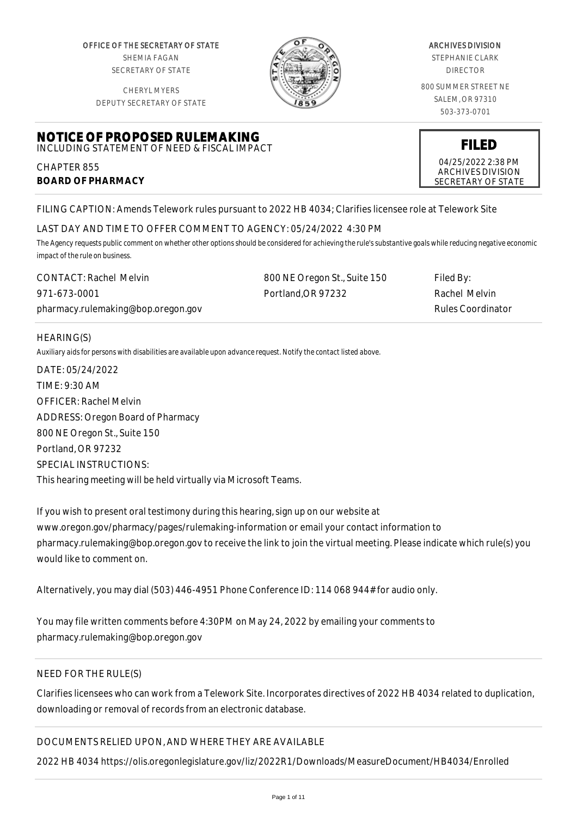OFFICE OF THE SECRETARY OF STATE SHEMIA FAGAN SECRETARY OF STATE

CHERYL MYERS

**NOTICE OF PROPOSED RULEMAKING** INCLUDING STATEMENT OF NEED & FISCAL IMPACT



#### ARCHIVES DIVISION

STEPHANIE CLARK DIRECTOR

800 SUMMER STREET NE SALEM, OR 97310 503-373-0701

DEPUTY SECRETARY OF STATE

**FILED** 04/25/2022 2:38 PM

ARCHIVES DIVISION SECRETARY OF STATE

FILING CAPTION: Amends Telework rules pursuant to 2022 HB 4034; Clarifies licensee role at Telework Site

## LAST DAY AND TIME TO OFFER COMMENT TO AGENCY: 05/24/2022 4:30 PM

*The Agency requests public comment on whether other options should be considered for achieving the rule's substantive goals while reducing negative economic impact of the rule on business.*

| <b>CONTACT: Rachel Melvin</b>      | 800 NE Oregon St., Suite 150 | Filed By:                |
|------------------------------------|------------------------------|--------------------------|
| 971-673-0001                       | Portland.OR 97232            | Rachel Melvin            |
| pharmacy.rulemaking@bop.oregon.gov |                              | <b>Rules Coordinator</b> |

#### HEARING(S)

CHAPTER 855

**BOARD OF PHARMACY**

*Auxiliary aids for persons with disabilities are available upon advance request. Notify the contact listed above.*

DATE: 05/24/2022 TIME: 9:30 AM OFFICER: Rachel Melvin ADDRESS: Oregon Board of Pharmacy 800 NE Oregon St., Suite 150 Portland, OR 97232 SPECIAL INSTRUCTIONS: This hearing meeting will be held virtually via Microsoft Teams.

If you wish to present oral testimony during this hearing, sign up on our website at www.oregon.gov/pharmacy/pages/rulemaking-information or email your contact information to pharmacy.rulemaking@bop.oregon.gov to receive the link to join the virtual meeting. Please indicate which rule(s) you would like to comment on.

Alternatively, you may dial (503) 446-4951 Phone Conference ID: 114 068 944# for audio only.

You may file written comments before 4:30PM on May 24, 2022 by emailing your comments to pharmacy.rulemaking@bop.oregon.gov

# NEED FOR THE RULE(S)

Clarifies licensees who can work from a Telework Site. Incorporates directives of 2022 HB 4034 related to duplication, downloading or removal of records from an electronic database.

# DOCUMENTS RELIED UPON, AND WHERE THEY ARE AVAILABLE

2022 HB 4034 https://olis.oregonlegislature.gov/liz/2022R1/Downloads/MeasureDocument/HB4034/Enrolled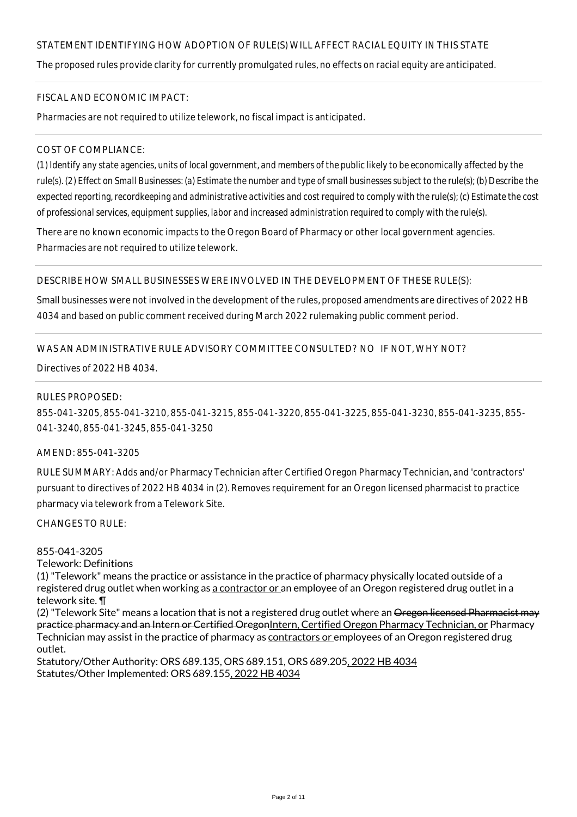# STATEMENT IDENTIFYING HOW ADOPTION OF RULE(S) WILL AFFECT RACIAL EQUITY IN THIS STATE

The proposed rules provide clarity for currently promulgated rules, no effects on racial equity are anticipated.

#### FISCAL AND ECONOMIC IMPACT:

Pharmacies are not required to utilize telework, no fiscal impact is anticipated.

### COST OF COMPLIANCE:

*(1) Identify any state agencies, units of local government, and members of the public likely to be economically affected by the rule(s). (2) Effect on Small Businesses: (a) Estimate the number and type of small businesses subject to the rule(s); (b) Describe the expected reporting, recordkeeping and administrative activities and cost required to comply with the rule(s); (c) Estimate the cost of professional services, equipment supplies, labor and increased administration required to comply with the rule(s).*

There are no known economic impacts to the Oregon Board of Pharmacy or other local government agencies. Pharmacies are not required to utilize telework.

#### DESCRIBE HOW SMALL BUSINESSES WERE INVOLVED IN THE DEVELOPMENT OF THESE RULE(S):

Small businesses were not involved in the development of the rules, proposed amendments are directives of 2022 HB 4034 and based on public comment received during March 2022 rulemaking public comment period.

## WAS AN ADMINISTRATIVE RULE ADVISORY COMMITTEE CONSULTED? NO IF NOT, WHY NOT?

Directives of 2022 HB 4034.

#### RULES PROPOSED:

855-041-3205, 855-041-3210, 855-041-3215, 855-041-3220, 855-041-3225, 855-041-3230, 855-041-3235, 855- 041-3240, 855-041-3245, 855-041-3250

#### AMEND: 855-041-3205

RULE SUMMARY: Adds and/or Pharmacy Technician after Certified Oregon Pharmacy Technician, and 'contractors' pursuant to directives of 2022 HB 4034 in (2). Removes requirement for an Oregon licensed pharmacist to practice pharmacy via telework from a Telework Site.

CHANGES TO RULE:

#### 855-041-3205

Telework: Definitions

(1) "Telework" means the practice or assistance in the practice of pharmacy physically located outside of a registered drug outlet when working as a contractor or an employee of an Oregon registered drug outlet in a telework site. ¶

(2) "Telework Site" means a location that is not a registered drug outlet where an Oregon licensed Pharmacist may practice pharmacy and an Intern or Certified OregonIntern, Certified Oregon Pharmacy Technician, or Pharmacy Technician may assist in the practice of pharmacy as contractors or employees of an Oregon registered drug outlet.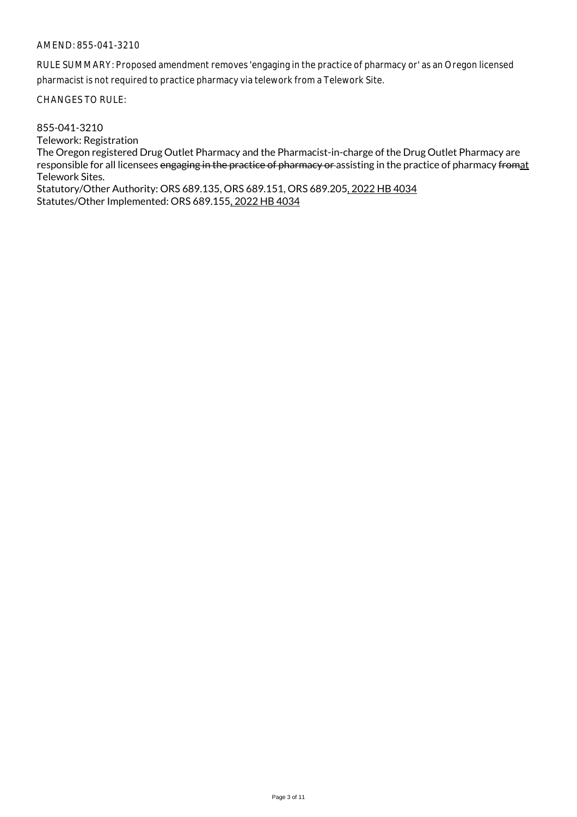RULE SUMMARY: Proposed amendment removes 'engaging in the practice of pharmacy or' as an Oregon licensed pharmacist is not required to practice pharmacy via telework from a Telework Site.

CHANGES TO RULE:

855-041-3210

Telework: Registration The Oregon registered Drug Outlet Pharmacy and the Pharmacist-in-charge of the Drug Outlet Pharmacy are responsible for all licensees engaging in the practice of pharmacy or assisting in the practice of pharmacy fromat Telework Sites.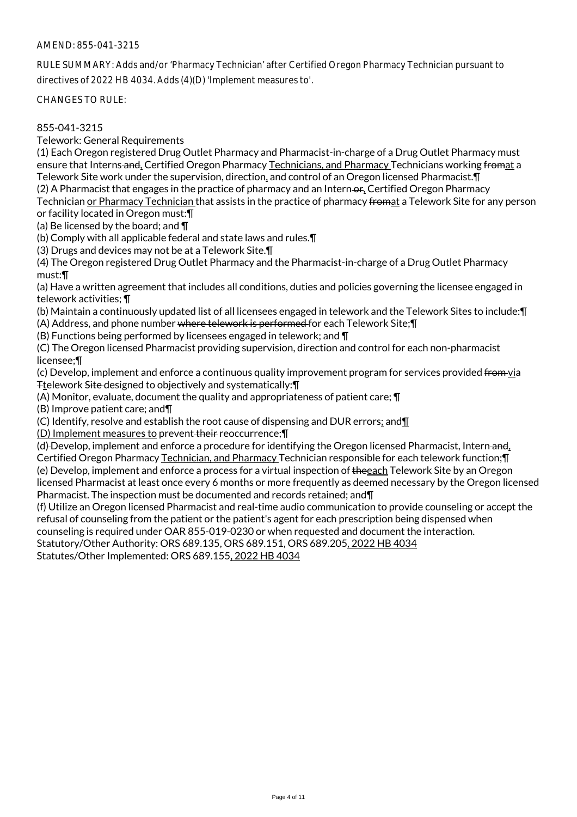RULE SUMMARY: Adds and/or 'Pharmacy Technician' after Certified Oregon Pharmacy Technician pursuant to directives of 2022 HB 4034. Adds (4)(D) 'Implement measures to'.

CHANGES TO RULE:

## 855-041-3215

Telework: General Requirements

(1) Each Oregon registered Drug Outlet Pharmacy and Pharmacist-in-charge of a Drug Outlet Pharmacy must ensure that Interns and, Certified Oregon Pharmacy Technicians, and Pharmacy Technicians working fromat a Telework Site work under the supervision, direction, and control of an Oregon licensed Pharmacist.¶ (2) A Pharmacist that engages in the practice of pharmacy and an Intern-or, Certified Oregon Pharmacy Technician or Pharmacy Technician that assists in the practice of pharmacy fromat a Telework Site for any person

or facility located in Oregon must:¶

(a) Be licensed by the board; and ¶

(b) Comply with all applicable federal and state laws and rules.¶

(3) Drugs and devices may not be at a Telework Site.¶

(4) The Oregon registered Drug Outlet Pharmacy and the Pharmacist-in-charge of a Drug Outlet Pharmacy must:¶

(a) Have a written agreement that includes all conditions, duties and policies governing the licensee engaged in telework activities; ¶

(b) Maintain a continuously updated list of all licensees engaged in telework and the Telework Sites to include:¶

(A) Address, and phone number where telework is performed for each Telework Site;¶ (B) Functions being performed by licensees engaged in telework; and ¶

(C) The Oregon licensed Pharmacist providing supervision, direction and control for each non-pharmacist

licensee;¶

(c) Develop, implement and enforce a continuous quality improvement program for services provided from via Ttelework Site-designed to objectively and systematically: \[

(A) Monitor, evaluate, document the quality and appropriateness of patient care; ¶

(B) Improve patient care; and¶

(C) Identify, resolve and establish the root cause of dispensing and DUR errors; and¶

(D) Implement measures to prevent their reoccurrence;¶

(d) Develop, implement and enforce a procedure for identifying the Oregon licensed Pharmacist, Intern and,

Certified Oregon Pharmacy Technician, and Pharmacy Technician responsible for each telework function;¶ (e) Develop, implement and enforce a process for a virtual inspection of theeach Telework Site by an Oregon

licensed Pharmacist at least once every 6 months or more frequently as deemed necessary by the Oregon licensed Pharmacist. The inspection must be documented and records retained; and¶

(f) Utilize an Oregon licensed Pharmacist and real-time audio communication to provide counseling or accept the refusal of counseling from the patient or the patient's agent for each prescription being dispensed when counseling is required under OAR 855-019-0230 or when requested and document the interaction.

Statutory/Other Authority: ORS 689.135, ORS 689.151, ORS 689.205, 2022 HB 4034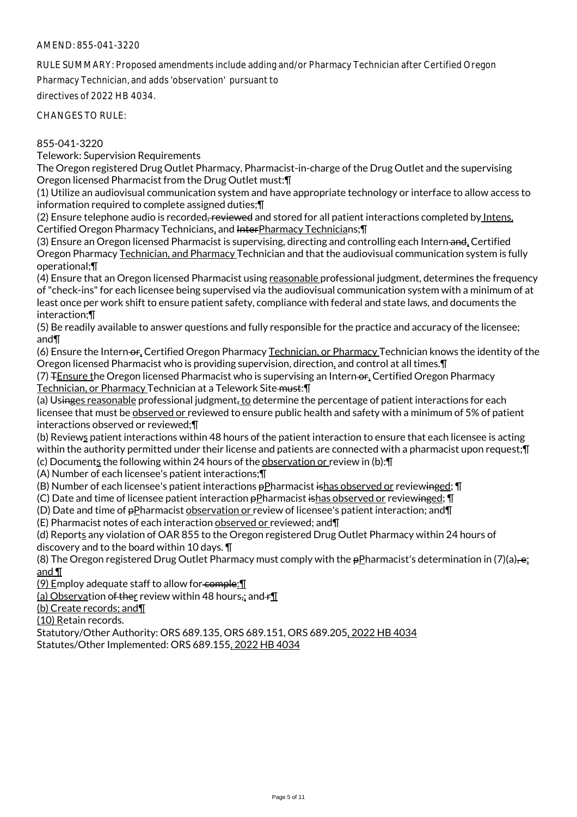RULE SUMMARY: Proposed amendments include adding and/or Pharmacy Technician after Certified Oregon

Pharmacy Technician, and adds 'observation' pursuant to

directives of 2022 HB 4034.

CHANGES TO RULE:

## 855-041-3220

Telework: Supervision Requirements

The Oregon registered Drug Outlet Pharmacy, Pharmacist-in-charge of the Drug Outlet and the supervising Oregon licensed Pharmacist from the Drug Outlet must:¶

(1) Utilize an audiovisual communication system and have appropriate technology or interface to allow access to information required to complete assigned duties;¶

(2) Ensure telephone audio is recorded, reviewed and stored for all patient interactions completed by Intens, Certified Oregon Pharmacy Technicians, and InterPharmacy Technicians;¶

(3) Ensure an Oregon licensed Pharmacist is supervising, directing and controlling each Intern and, Certified Oregon Pharmacy Technician, and Pharmacy Technician and that the audiovisual communication system is fully operational;¶

(4) Ensure that an Oregon licensed Pharmacist using reasonable professional judgment, determines the frequency of "check-ins" for each licensee being supervised via the audiovisual communication system with a minimum of at least once per work shift to ensure patient safety, compliance with federal and state laws, and documents the interaction;¶

(5) Be readily available to answer questions and fully responsible for the practice and accuracy of the licensee; and¶

(6) Ensure the Intern-or, Certified Oregon Pharmacy Technician, or Pharmacy Technician knows the identity of the Oregon licensed Pharmacist who is providing supervision, direction, and control at all times.¶

(7) FEnsure the Oregon licensed Pharmacist who is supervising an Intern-or, Certified Oregon Pharmacy Technician, or Pharmacy Technician at a Telework Site-must: ¶

(a) Usinges reasonable professional judgment, to determine the percentage of patient interactions for each licensee that must be observed or reviewed to ensure public health and safety with a minimum of 5% of patient interactions observed or reviewed;¶

(b) Reviews patient interactions within 48 hours of the patient interaction to ensure that each licensee is acting within the authority permitted under their license and patients are connected with a pharmacist upon request; [I] (c) Documents the following within 24 hours of the observation or review in (b):¶

(A) Number of each licensee's patient interactions;¶

(B) Number of each licensee's patient interactions pPharmacist ishas observed or reviewinged; \[

(C) Date and time of licensee patient interaction pPharmacist ishas observed or reviewinged; ¶

(D) Date and time of pPharmacist observation or review of licensee's patient interaction; and¶

(E) Pharmacist notes of each interaction observed or reviewed; and¶

(d) Reports any violation of OAR 855 to the Oregon registered Drug Outlet Pharmacy within 24 hours of discovery and to the board within 10 days. ¶

(8) The Oregon registered Drug Outlet Pharmacy must comply with the  $p$ Pharmacist's determination in (7)(a),  $e_i$ and ¶

 $(9)$  Employ adequate staff to allow for comple:  $\P$ 

(a) Observation of ther review within 48 hours, and  $f\llbracket$ 

(b) Create records; and¶

(10) Retain records.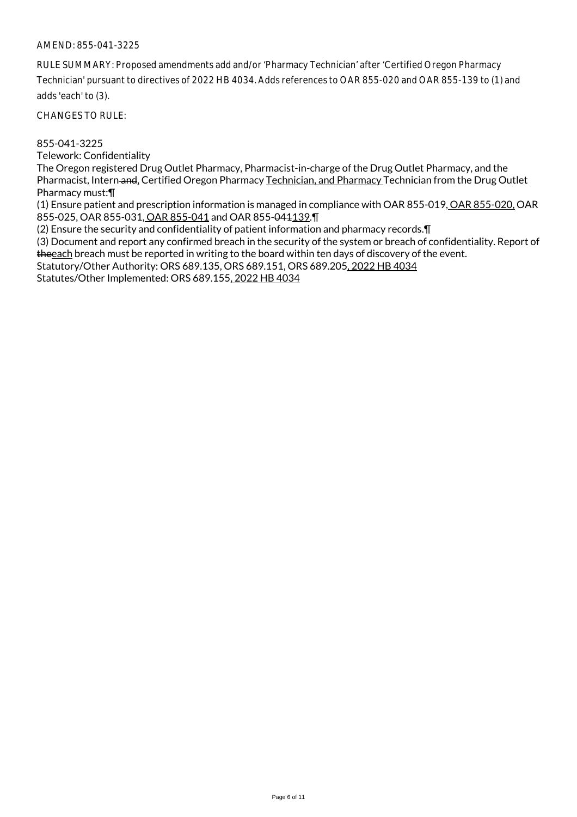RULE SUMMARY: Proposed amendments add and/or 'Pharmacy Technician' after 'Certified Oregon Pharmacy Technician' pursuant to directives of 2022 HB 4034. Adds references to OAR 855-020 and OAR 855-139 to (1) and adds 'each' to (3).

CHANGES TO RULE:

### 855-041-3225

Telework: Confidentiality

The Oregon registered Drug Outlet Pharmacy, Pharmacist-in-charge of the Drug Outlet Pharmacy, and the Pharmacist, Intern and, Certified Oregon Pharmacy Technician, and Pharmacy Technician from the Drug Outlet Pharmacy must:¶

(1) Ensure patient and prescription information is managed in compliance with OAR 855-019, OAR 855-020, OAR 855-025, OAR 855-031, OAR 855-041 and OAR 855-041139.¶

(2) Ensure the security and confidentiality of patient information and pharmacy records.¶

(3) Document and report any confirmed breach in the security of the system or breach of confidentiality. Report of the each breach must be reported in writing to the board within ten days of discovery of the event.

Statutory/Other Authority: ORS 689.135, ORS 689.151, ORS 689.205, 2022 HB 4034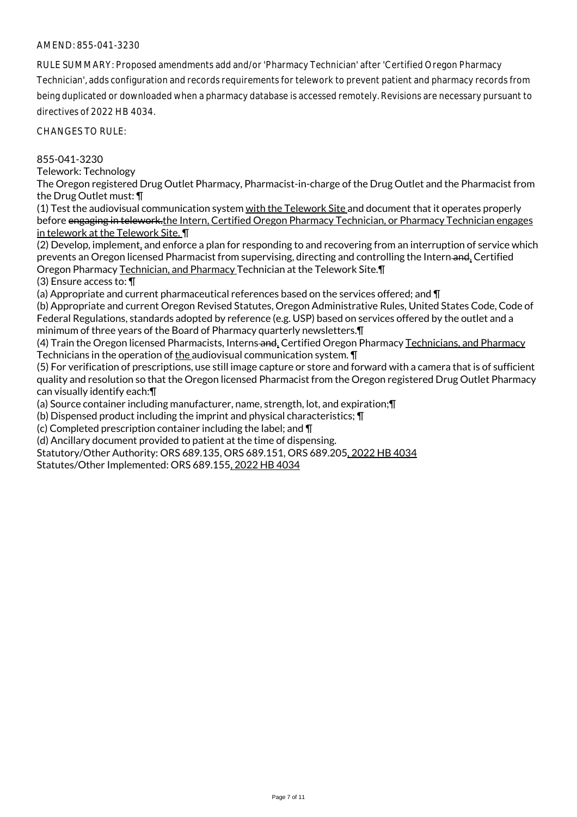RULE SUMMARY: Proposed amendments add and/or 'Pharmacy Technician' after 'Certified Oregon Pharmacy Technician', adds configuration and records requirements for telework to prevent patient and pharmacy records from being duplicated or downloaded when a pharmacy database is accessed remotely. Revisions are necessary pursuant to directives of 2022 HB 4034.

CHANGES TO RULE:

855-041-3230

Telework: Technology

The Oregon registered Drug Outlet Pharmacy, Pharmacist-in-charge of the Drug Outlet and the Pharmacist from the Drug Outlet must: ¶

(1) Test the audiovisual communication system with the Telework Site and document that it operates properly before engaging in telework.the Intern, Certified Oregon Pharmacy Technician, or Pharmacy Technician engages in telework at the Telework Site. ¶

(2) Develop, implement, and enforce a plan for responding to and recovering from an interruption of service which prevents an Oregon licensed Pharmacist from supervising, directing and controlling the Intern-and, Certified Oregon Pharmacy Technician, and Pharmacy Technician at the Telework Site.¶

(3) Ensure access to: ¶

(a) Appropriate and current pharmaceutical references based on the services offered; and ¶

(b) Appropriate and current Oregon Revised Statutes, Oregon Administrative Rules, United States Code, Code of Federal Regulations, standards adopted by reference (e.g. USP) based on services offered by the outlet and a minimum of three years of the Board of Pharmacy quarterly newsletters.¶

(4) Train the Oregon licensed Pharmacists, Interns and, Certified Oregon Pharmacy Technicians, and Pharmacy Technicians in the operation of the audiovisual communication system. **T** 

(5) For verification of prescriptions, use still image capture or store and forward with a camera that is of sufficient quality and resolution so that the Oregon licensed Pharmacist from the Oregon registered Drug Outlet Pharmacy can visually identify each:¶

(a) Source container including manufacturer, name, strength, lot, and expiration;¶

(b) Dispensed product including the imprint and physical characteristics; ¶

(c) Completed prescription container including the label; and ¶

(d) Ancillary document provided to patient at the time of dispensing.

Statutory/Other Authority: ORS 689.135, ORS 689.151, ORS 689.205, 2022 HB 4034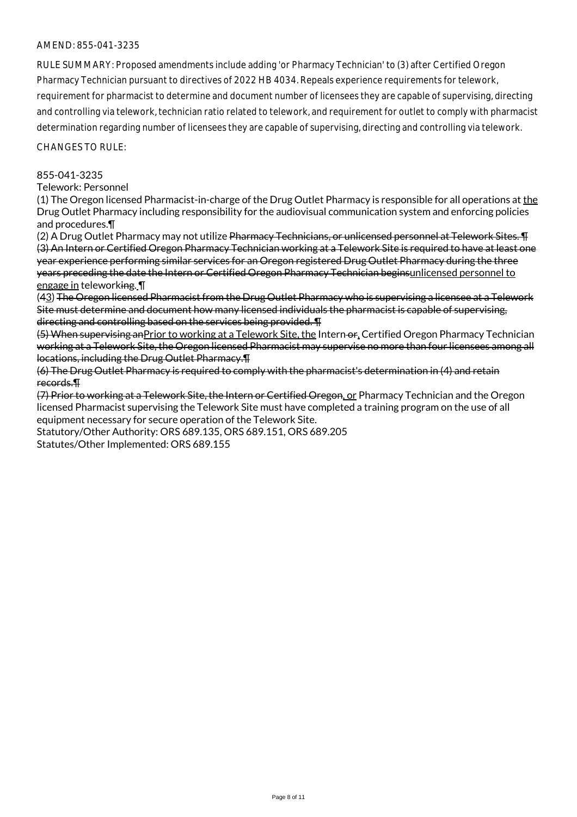RULE SUMMARY: Proposed amendments include adding 'or Pharmacy Technician' to (3) after Certified Oregon Pharmacy Technician pursuant to directives of 2022 HB 4034. Repeals experience requirements for telework, requirement for pharmacist to determine and document number of licensees they are capable of supervising, directing and controlling via telework, technician ratio related to telework, and requirement for outlet to comply with pharmacist determination regarding number of licensees they are capable of supervising, directing and controlling via telework.

CHANGES TO RULE:

#### 855-041-3235

Telework: Personnel

(1) The Oregon licensed Pharmacist-in-charge of the Drug Outlet Pharmacy is responsible for all operations at the Drug Outlet Pharmacy including responsibility for the audiovisual communication system and enforcing policies and procedures.¶

(2) A Drug Outlet Pharmacy may not utilize <del>Pharmacy Technicians, or unlicensed personnel at Telework Sites. ¶</del> (3) An Intern or Certified Oregon Pharmacy Technician working at a Telework Site is required to have at least one year experience performing similar services for an Oregon registered Drug Outlet Pharmacy during the three years preceding the date the Intern or Certified Oregon Pharmacy Technician beginsunlicensed personnel to engage in teleworking. ¶

(43) The Oregon licensed Pharmacist from the Drug Outlet Pharmacy who is supervising a licensee at a Telework Site must determine and document how many licensed individuals the pharmacist is capable of supervising, directing and controlling based on the services being provided. ¶

(5) When supervising anPrior to working at a Telework Site, the Intern or, Certified Oregon Pharmacy Technician working at a Telework Site, the Oregon licensed Pharmacist may supervise no more than four licensees among all locations, including the Drug Outlet Pharmacy.¶

(6) The Drug Outlet Pharmacy is required to comply with the pharmacist's determination in (4) and retain records.¶

(7) Prior to working at a Telework Site, the Intern or Certified Oregon, or Pharmacy Technician and the Oregon licensed Pharmacist supervising the Telework Site must have completed a training program on the use of all equipment necessary for secure operation of the Telework Site.

Statutory/Other Authority: ORS 689.135, ORS 689.151, ORS 689.205

Statutes/Other Implemented: ORS 689.155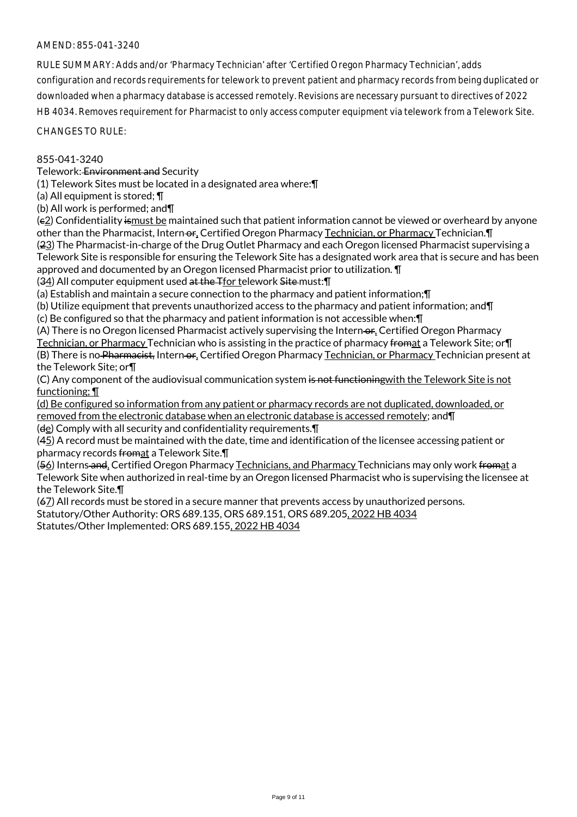RULE SUMMARY: Adds and/or 'Pharmacy Technician' after 'Certified Oregon Pharmacy Technician', adds configuration and records requirements for telework to prevent patient and pharmacy records from being duplicated or downloaded when a pharmacy database is accessed remotely. Revisions are necessary pursuant to directives of 2022 HB 4034. Removes requirement for Pharmacist to only access computer equipment via telework from a Telework Site.

#### CHANGES TO RULE:

### 855-041-3240

Telework: Environment and Security

(1) Telework Sites must be located in a designated area where:¶

(a) All equipment is stored; ¶

(b) All work is performed; and¶

(c2) Confidentiality ismust be maintained such that patient information cannot be viewed or overheard by anyone other than the Pharmacist, Intern or, Certified Oregon Pharmacy Technician, or Pharmacy Technician. T (23) The Pharmacist-in-charge of the Drug Outlet Pharmacy and each Oregon licensed Pharmacist supervising a Telework Site is responsible for ensuring the Telework Site has a designated work area that is secure and has been approved and documented by an Oregon licensed Pharmacist prior to utilization. ¶

(34) All computer equipment used at the Tfor telework Site must: [1]

(a) Establish and maintain a secure connection to the pharmacy and patient information;¶

(b) Utilize equipment that prevents unauthorized access to the pharmacy and patient information; and¶

(c) Be configured so that the pharmacy and patient information is not accessible when:¶

(A) There is no Oregon licensed Pharmacist actively supervising the Intern-or, Certified Oregon Pharmacy Technician, or Pharmacy Technician who is assisting in the practice of pharmacy fromat a Telework Site; or **T** (B) There is no Pharmacist, Intern or, Certified Oregon Pharmacy Technician, or Pharmacy Technician present at the Telework Site; or¶

(C) Any component of the audiovisual communication system is not functioning with the Telework Site is not functioning; ¶

(d) Be configured so information from any patient or pharmacy records are not duplicated, downloaded, or removed from the electronic database when an electronic database is accessed remotely; and¶

 $(d_e)$  Comply with all security and confidentiality requirements. $\P$ 

(45) A record must be maintained with the date, time and identification of the licensee accessing patient or pharmacy records fromat a Telework Site.¶

(56) Interns and, Certified Oregon Pharmacy Technicians, and Pharmacy Technicians may only work fromat a Telework Site when authorized in real-time by an Oregon licensed Pharmacist who is supervising the licensee at the Telework Site.¶

 $(67)$  All records must be stored in a secure manner that prevents access by unauthorized persons.

Statutory/Other Authority: ORS 689.135, ORS 689.151, ORS 689.205, 2022 HB 4034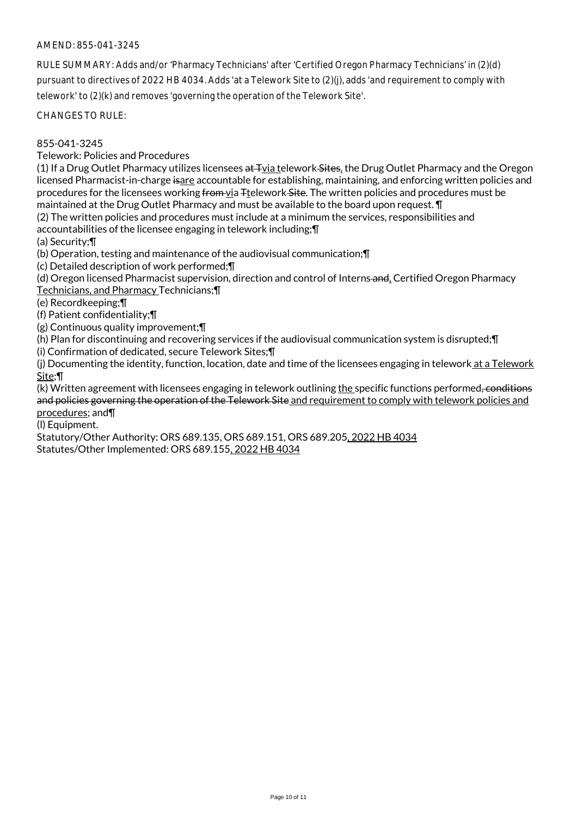RULE SUMMARY: Adds and/or 'Pharmacy Technicians' after 'Certified Oregon Pharmacy Technicians' in (2)(d) pursuant to directives of 2022 HB 4034. Adds 'at a Telework Site to (2)(j), adds 'and requirement to comply with telework' to (2)(k) and removes 'governing the operation of the Telework Site'.

CHANGES TO RULE:

855-041-3245

Telework: Policies and Procedures

(1) If a Drug Outlet Pharmacy utilizes licensees  $a\text{t}$ -Tvia telework-Sites, the Drug Outlet Pharmacy and the Oregon licensed Pharmacist-in-charge isare accountable for establishing, maintaining, and enforcing written policies and procedures for the licensees working from via Ttelework Site. The written policies and procedures must be maintained at the Drug Outlet Pharmacy and must be available to the board upon request. ¶

(2) The written policies and procedures must include at a minimum the services, responsibilities and

accountabilities of the licensee engaging in telework including;¶

(a) Security;¶

(b) Operation, testing and maintenance of the audiovisual communication;¶

(c) Detailed description of work performed;¶

(d) Oregon licensed Pharmacist supervision, direction and control of Interns and, Certified Oregon Pharmacy Technicians, and Pharmacy Technicians;¶

(e) Recordkeeping;¶

(f) Patient confidentiality;¶

(g) Continuous quality improvement;¶

(h) Plan for discontinuing and recovering services if the audiovisual communication system is disrupted;¶

(i) Confirmation of dedicated, secure Telework Sites;¶

(j) Documenting the identity, function, location, date and time of the licensees engaging in telework at a Telework Site;¶

(k) Written agreement with licensees engaging in telework outlining the specific functions performed, conditions and policies governing the operation of the Telework Site and requirement to comply with telework policies and procedures; and¶

(l) Equipment.